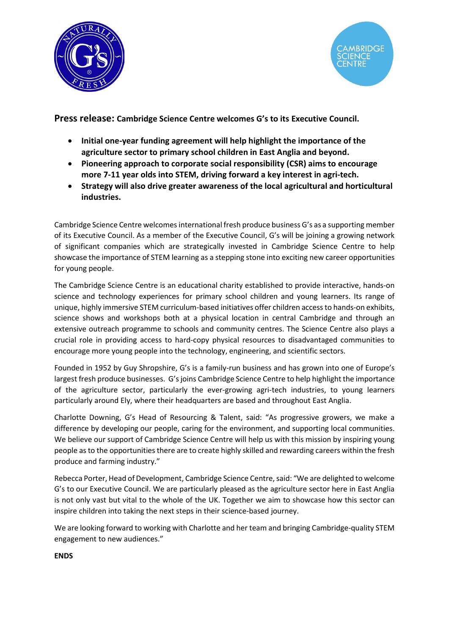



Press release: Cambridge Science Centre welcomes G's to its Executive Council.

- Initial one-year funding agreement will help highlight the importance of the agriculture sector to primary school children in East Anglia and beyond.
- Pioneering approach to corporate social responsibility (CSR) aims to encourage more 7-11 year olds into STEM, driving forward a key interest in agri-tech.
- Strategy will also drive greater awareness of the local agricultural and horticultural industries.

Cambridge Science Centre welcomes international fresh produce business G's as a supporting member of its Executive Council. As a member of the Executive Council, G's will be joining a growing network of significant companies which are strategically invested in Cambridge Science Centre to help showcase the importance of STEM learning as a stepping stone into exciting new career opportunities for young people.

The Cambridge Science Centre is an educational charity established to provide interactive, hands-on science and technology experiences for primary school children and young learners. Its range of unique, highly immersive STEM curriculum-based initiatives offer children access to hands-on exhibits, science shows and workshops both at a physical location in central Cambridge and through an extensive outreach programme to schools and community centres. The Science Centre also plays a crucial role in providing access to hard-copy physical resources to disadvantaged communities to encourage more young people into the technology, engineering, and scientific sectors.

Founded in 1952 by Guy Shropshire, G's is a family-run business and has grown into one of Europe's largest fresh produce businesses. G's joins Cambridge Science Centre to help highlight the importance of the agriculture sector, particularly the ever-growing agri-tech industries, to young learners particularly around Ely, where their headquarters are based and throughout East Anglia.

Charlotte Downing, G's Head of Resourcing & Talent, said: "As progressive growers, we make a difference by developing our people, caring for the environment, and supporting local communities. We believe our support of Cambridge Science Centre will help us with this mission by inspiring young people as to the opportunities there are to create highly skilled and rewarding careers within the fresh produce and farming industry."

Rebecca Porter, Head of Development, Cambridge Science Centre, said: "We are delighted to welcome G's to our Executive Council. We are particularly pleased as the agriculture sector here in East Anglia is not only vast but vital to the whole of the UK. Together we aim to showcase how this sector can inspire children into taking the next steps in their science-based journey.

We are looking forward to working with Charlotte and her team and bringing Cambridge-quality STEM engagement to new audiences."

ENDS